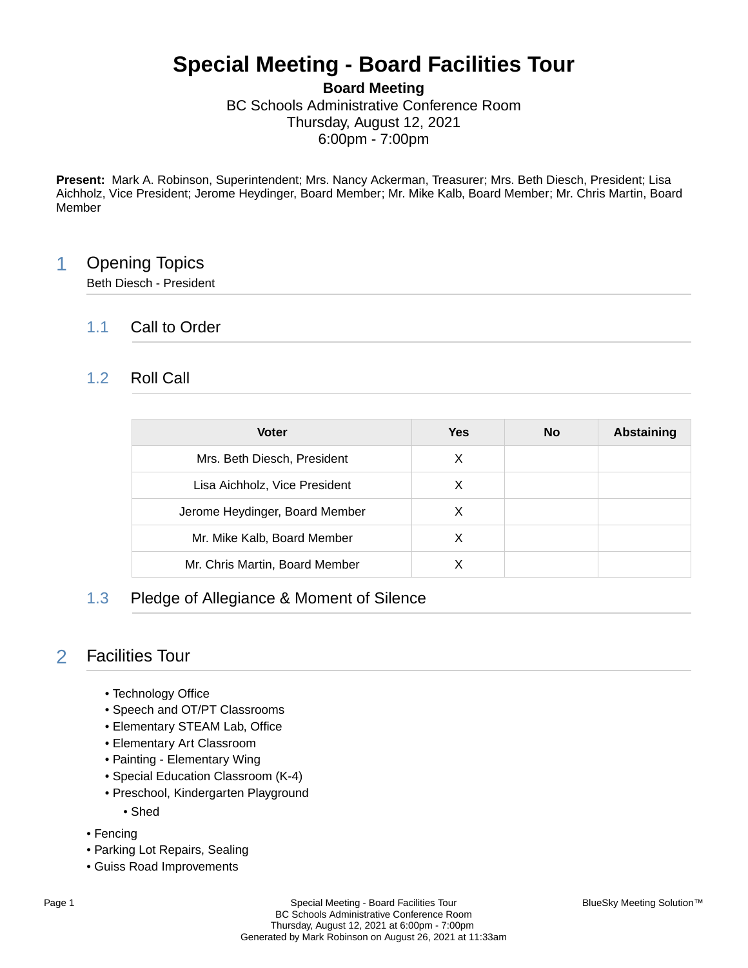# **Special Meeting - Board Facilities Tour**

**Board Meeting** BC Schools Administrative Conference Room Thursday, August 12, 2021 6:00pm - 7:00pm

**Present:** Mark A. Robinson, Superintendent; Mrs. Nancy Ackerman, Treasurer; Mrs. Beth Diesch, President; Lisa Aichholz, Vice President; Jerome Heydinger, Board Member; Mr. Mike Kalb, Board Member; Mr. Chris Martin, Board Member

### 1 Opening Topics

Beth Diesch - President

#### 1.1 Call to Order

#### 1.2 Roll Call

| <b>Voter</b>                   | <b>Yes</b> | No | <b>Abstaining</b> |
|--------------------------------|------------|----|-------------------|
| Mrs. Beth Diesch, President    | X          |    |                   |
| Lisa Aichholz, Vice President  | X          |    |                   |
| Jerome Heydinger, Board Member | X          |    |                   |
| Mr. Mike Kalb, Board Member    | X          |    |                   |
| Mr. Chris Martin, Board Member | х          |    |                   |

#### 1.3 Pledge of Allegiance & Moment of Silence

#### 2 Facilities Tour

- Technology Office
- Speech and OT/PT Classrooms
- Elementary STEAM Lab, Office
- Elementary Art Classroom
- Painting Elementary Wing
- Special Education Classroom (K-4)
- Preschool, Kindergarten Playground
	- Shed
- Fencing
- Parking Lot Repairs, Sealing
- Guiss Road Improvements